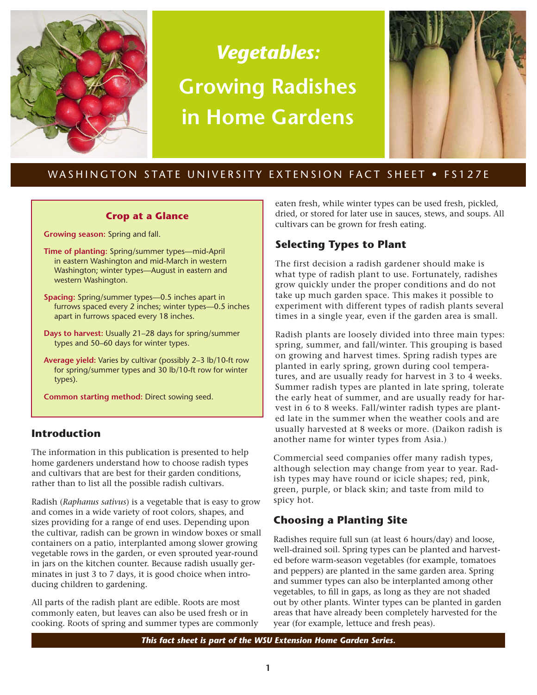

# *Vegetables:* **Growing Radishes in Home Gardens**



# WASHINGTON STATE UNIVERSITY EXTENSION FACT SHEET . FS127E

#### **Crop at a Glance**

**Growing season:** Spring and fall.

- **Time of planting:** Spring/summer types—mid-April in eastern Washington and mid-March in western Washington; winter types—August in eastern and western Washington.
- **Spacing:** Spring/summer types—0.5 inches apart in furrows spaced every 2 inches; winter types—0.5 inches apart in furrows spaced every 18 inches.
- **Days to harvest:** Usually 21–28 days for spring/summer types and 50–60 days for winter types.
- **Average yield:** Varies by cultivar (possibly 2–3 lb/10-ft row for spring/summer types and 30 lb/10-ft row for winter types).

**Common starting method:** Direct sowing seed.

# **Introduction**

The information in this publication is presented to help home gardeners understand how to choose radish types and cultivars that are best for their garden conditions, rather than to list all the possible radish cultivars.

Radish (*Raphanus sativus*) is a vegetable that is easy to grow and comes in a wide variety of root colors, shapes, and sizes providing for a range of end uses. Depending upon the cultivar, radish can be grown in window boxes or small containers on a patio, interplanted among slower growing vegetable rows in the garden, or even sprouted year-round in jars on the kitchen counter. Because radish usually germinates in just 3 to 7 days, it is good choice when introducing children to gardening.

All parts of the radish plant are edible. Roots are most commonly eaten, but leaves can also be used fresh or in cooking. Roots of spring and summer types are commonly eaten fresh, while winter types can be used fresh, pickled, dried, or stored for later use in sauces, stews, and soups. All cultivars can be grown for fresh eating.

# **Selecting Types to Plant**

The first decision a radish gardener should make is what type of radish plant to use. Fortunately, radishes grow quickly under the proper conditions and do not take up much garden space. This makes it possible to experiment with different types of radish plants several times in a single year, even if the garden area is small.

Radish plants are loosely divided into three main types: spring, summer, and fall/winter. This grouping is based on growing and harvest times. Spring radish types are planted in early spring, grown during cool temperatures, and are usually ready for harvest in 3 to 4 weeks. Summer radish types are planted in late spring, tolerate the early heat of summer, and are usually ready for harvest in 6 to 8 weeks. Fall/winter radish types are planted late in the summer when the weather cools and are usually harvested at 8 weeks or more. (Daikon radish is another name for winter types from Asia.)

Commercial seed companies offer many radish types, although selection may change from year to year. Radish types may have round or icicle shapes; red, pink, green, purple, or black skin; and taste from mild to spicy hot.

# **Choosing a Planting Site**

Radishes require full sun (at least 6 hours/day) and loose, well-drained soil. Spring types can be planted and harvested before warm-season vegetables (for example, tomatoes and peppers) are planted in the same garden area. Spring and summer types can also be interplanted among other vegetables, to fill in gaps, as long as they are not shaded out by other plants. Winter types can be planted in garden areas that have already been completely harvested for the year (for example, lettuce and fresh peas).

*This fact sheet is part of the WSU Extension Home Garden Series.*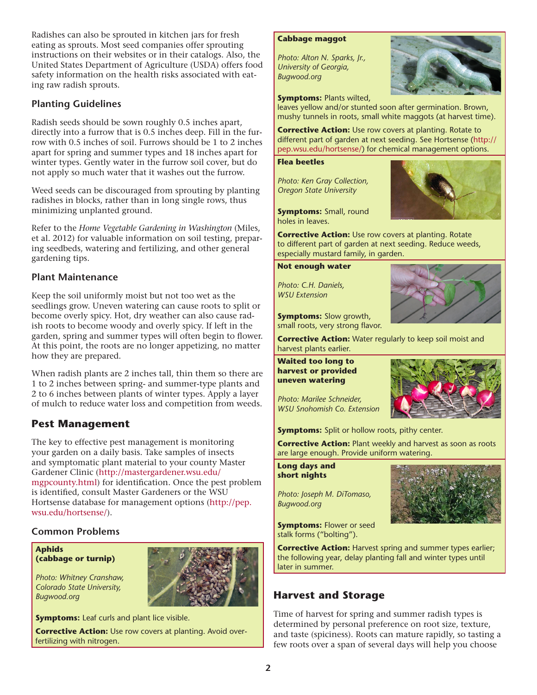Radishes can also be sprouted in kitchen jars for fresh eating as sprouts. Most seed companies offer sprouting instructions on their websites or in their catalogs. Also, the United States Department of Agriculture (USDA) offers food safety information on the health risks associated with eating raw radish sprouts.

# **Planting Guidelines**

Radish seeds should be sown roughly 0.5 inches apart, directly into a furrow that is 0.5 inches deep. Fill in the furrow with 0.5 inches of soil. Furrows should be 1 to 2 inches apart for spring and summer types and 18 inches apart for winter types. Gently water in the furrow soil cover, but do not apply so much water that it washes out the furrow.

Weed seeds can be discouraged from sprouting by planting radishes in blocks, rather than in long single rows, thus minimizing unplanted ground.

Refer to the *Home Vegetable Gardening in Washington* (Miles, et al. 2012) for valuable information on soil testing, preparing seedbeds, watering and fertilizing, and other general gardening tips.

### **Plant Maintenance**

Keep the soil uniformly moist but not too wet as the seedlings grow. Uneven watering can cause roots to split or become overly spicy. Hot, dry weather can also cause radish roots to become woody and overly spicy. If left in the garden, spring and summer types will often begin to flower. At this point, the roots are no longer appetizing, no matter how they are prepared.

When radish plants are 2 inches tall, thin them so there are 1 to 2 inches between spring- and summer-type plants and 2 to 6 inches between plants of winter types. Apply a layer of mulch to reduce water loss and competition from weeds.

# **Pest Management**

The key to effective pest management is monitoring your garden on a daily basis. Take samples of insects and symptomatic plant material to your county Master Gardener Clinic ([http://mastergardener.wsu.edu/](http://mastergardener.wsu.edu/mgpcounty.html) [mgpcounty.html\)](http://mastergardener.wsu.edu/mgpcounty.html) for identification. Once the pest problem is identified, consult Master Gardeners or the WSU Hortsense database for management options ([http://pep.](http://pep.wsu.edu/hortsense/) [wsu.edu/hortsense/](http://pep.wsu.edu/hortsense/)).

#### **Common Problems**

**Aphids (cabbage or turnip)**

*Photo: Whitney Cranshaw, Colorado State University, Bugwood.org*



**Corrective Action:** Use row covers at planting. Avoid overfertilizing with nitrogen.

#### **Cabbage maggot**

*Photo: Alton N. Sparks, Jr., University of Georgia, Bugwood.org*



**Symptoms: Plants wilted.** 

leaves yellow and/or stunted soon after germination. Brown, mushy tunnels in roots, small white maggots (at harvest time).

**Corrective Action:** Use row covers at planting. Rotate to different part of garden at next seeding. See Hortsense ([http://](http://pep.wsu.edu/hortsense/) [pep.wsu.edu/hortsense/\)](http://pep.wsu.edu/hortsense/) for chemical management options.

#### **Flea beetles**

*Photo: Ken Gray Collection, Oregon State University*



**Symptoms:** Small, round holes in leaves.

**Corrective Action:** Use row covers at planting. Rotate to different part of garden at next seeding. Reduce weeds, especially mustard family, in garden.

#### **Not enough water**

*Photo: C.H. Daniels, WSU Extension*



**Symptoms:** Slow growth, small roots, very strong flavor.

**Corrective Action:** Water regularly to keep soil moist and harvest plants earlier.

**Waited too long to harvest or provided uneven watering**

*Photo: Marilee Schneider, WSU Snohomish Co. Extension*

**Symptoms:** Split or hollow roots, pithy center.

**Corrective Action:** Plant weekly and harvest as soon as roots are large enough. Provide uniform watering.

**Long days and short nights**

*Photo: Joseph M. DiTomaso, Bugwood.org*



**Symptoms: Flower or seed** stalk forms ("bolting").

**Corrective Action: Harvest spring and summer types earlier;** the following year, delay planting fall and winter types until later in summer.

# **Harvest and Storage**

Time of harvest for spring and summer radish types is determined by personal preference on root size, texture, and taste (spiciness). Roots can mature rapidly, so tasting a few roots over a span of several days will help you choose